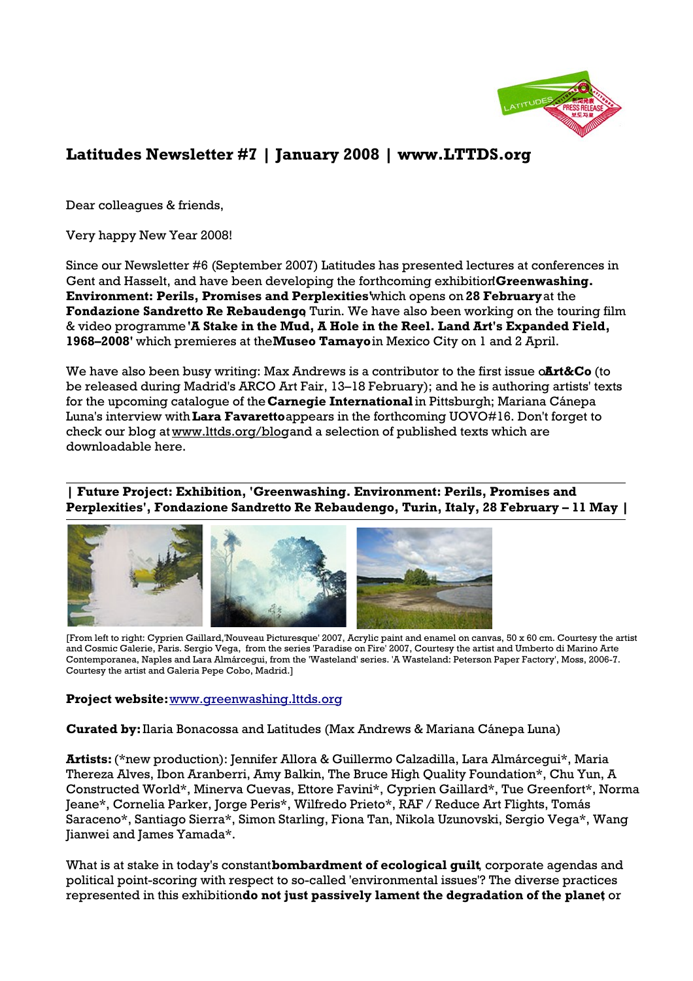

# **Latitudes Newsletter #7 | January 2008 | www.LTTDS.org**

Dear colleagues & friends,

Very happy New Year 2008!

Since our Newsletter #6 (September 2007) Latitudes has presented lectures at conferences in Gent and Hasselt, and have been developing the forthcoming exhibition **Greenwashing. Environment: Perils, Promises and Perplexities'** which opens on **28 February** at the Fondazione Sandretto Re Rebaudengo Turin. We have also been working on the touring film & video programme **'A Stake in the Mud, A Hole in the Reel. Land Art's Expanded Field, 1968–2008'** which premieres at the **Museo Tamayo** in Mexico City on 1 and 2 April.

We have also been busy writing: Max Andrews is a contributor to the first issue o**Art&Co** (to be released during Madrid's ARCO Art Fair, 13–18 February); and he is authoring artists' texts for the upcoming catalogue of the **Carnegie International** in Pittsburgh; Mariana Cánepa Luna's interview with **Lara Favaretto** appears in the forthcoming UOVO#16. Don't forget to check our blog at www.lttds.org/blog and a selection of published texts which are downloadable here.

**| Future Project: Exhibition, 'Greenwashing. Environment: Perils, Promises and Perplexities', Fondazione Sandretto Re Rebaudengo, Turin, Italy, 28 February – 11 May |**



[From left to right: Cyprien Gaillard,'Nouveau Picturesque' 2007, Acrylic paint and enamel on canvas, 50 x 60 cm. Courtesy the artist and Cosmic Galerie, Paris. Sergio Vega, from the series 'Paradise on Fire' 2007, Courtesy the artist and Umberto di Marino Arte Contemporanea, Naples and Lara Almárcegui, from the 'Wasteland' series. 'A Wasteland: Peterson Paper Factory', Moss, 2006-7. Courtesy the artist and Galeria Pepe Cobo, Madrid.]

### **Project website:** [www.greenwashing.lttds.org](http://www.greenwashing.lttds.org/)

**Curated by:** Ilaria Bonacossa and Latitudes (Max Andrews & Mariana Cánepa Luna)

**Artists:** (\*new production): Jennifer Allora & Guillermo Calzadilla, Lara Almárcegui\*, Maria Thereza Alves, Ibon Aranberri, Amy Balkin, The Bruce High Quality Foundation\*, Chu Yun, A Constructed World\*, Minerva Cuevas, Ettore Favini\*, Cyprien Gaillard\*, Tue Greenfort\*, Norma Jeane\*, Cornelia Parker, Jorge Peris\*, Wilfredo Prieto\*, RAF / Reduce Art Flights, Tomás Saraceno\*, Santiago Sierra\*, Simon Starling, Fiona Tan, Nikola Uzunovski, Sergio Vega\*, Wang Jianwei and James Yamada\*.

What is at stake in today's constant **bombardment of ecological guilt**, corporate agendas and political point-scoring with respect to so-called 'environmental issues'? The diverse practices represented in this exhibition **do not just passively lament the degradation of the planet**, or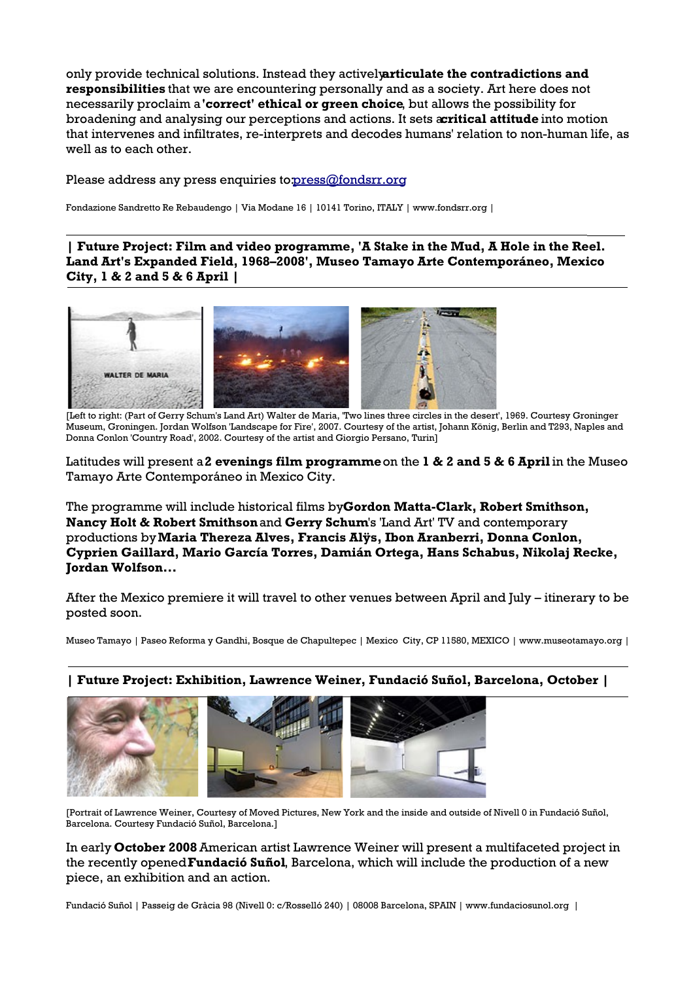only provide technical solutions. Instead they actively **articulate the contradictions and responsibilities** that we are encountering personally and as a society. Art here does not necessarily proclaim a **'correct' ethical or green choice**, but allows the possibility for broadening and analysing our perceptions and actions. It sets **acritical attitude** into motion that intervenes and infiltrates, re-interprets and decodes humans' relation to non-human life, as well as to each other.

#### Please address any press enquiries to[: press@fondsrr.org](mailto:press@fondsrr.org)

Fondazione Sandretto Re Rebaudengo | Via Modane 16 | 10141 Torino, ITALY | www.fondsrr.org |

**| Future Project: Film and video programme, 'A Stake in the Mud, A Hole in the Reel. Land Art's Expanded Field, 1968–2008', Museo Tamayo Arte Contemporáneo, Mexico City, 1 & 2 and 5 & 6 April |**



[Left to right: (Part of Gerry Schum's Land Art) Walter de Maria, 'Two lines three circles in the desert', 1969. Courtesy Groninger Museum, Groningen. Jordan Wolfson 'Landscape for Fire', 2007. Courtesy of the artist, Johann König, Berlin and T293, Naples and Donna Conlon 'Country Road', 2002. Courtesy of the artist and Giorgio Persano, Turin]

Latitudes will present a **2 evenings film programme** on the **1 & 2 and 5 & 6 April** in the Museo Tamayo Arte Contemporáneo in Mexico City.

The programme will include historical films by **Gordon Matta-Clark, Robert Smithson, Nancy Holt & Robert Smithson** and **Gerry Schum**'s 'Land Art' TV and contemporary productions by **Maria Thereza Alves, Francis Alÿs, Ibon Aranberri, Donna Conlon, Cyprien Gaillard, Mario García Torres, Damián Ortega, Hans Schabus, Nikolaj Recke, Jordan Wolfson...**

After the Mexico premiere it will travel to other venues between April and July – itinerary to be posted soon.

Museo Tamayo | Paseo Reforma y Gandhi, Bosque de Chapultepec | Mexico City, CP 11580, MEXICO | www.museotamayo.org |



**| Future Project: Exhibition, Lawrence Weiner, Fundació Suñol, Barcelona, October |**

[Portrait of Lawrence Weiner, Courtesy of Moved Pictures, New York and the inside and outside of Nivell 0 in Fundació Suñol, Barcelona. Courtesy Fundació Suñol, Barcelona.]

In early **October 2008** American artist Lawrence Weiner will present a multifaceted project in the recently opened **Fundació Suñol**, Barcelona, which will include the production of a new piece, an exhibition and an action.

Fundació Suñol | Passeig de Gràcia 98 (Nivell 0: c/Rosselló 240) | 08008 Barcelona, SPAIN | www.fundaciosunol.org |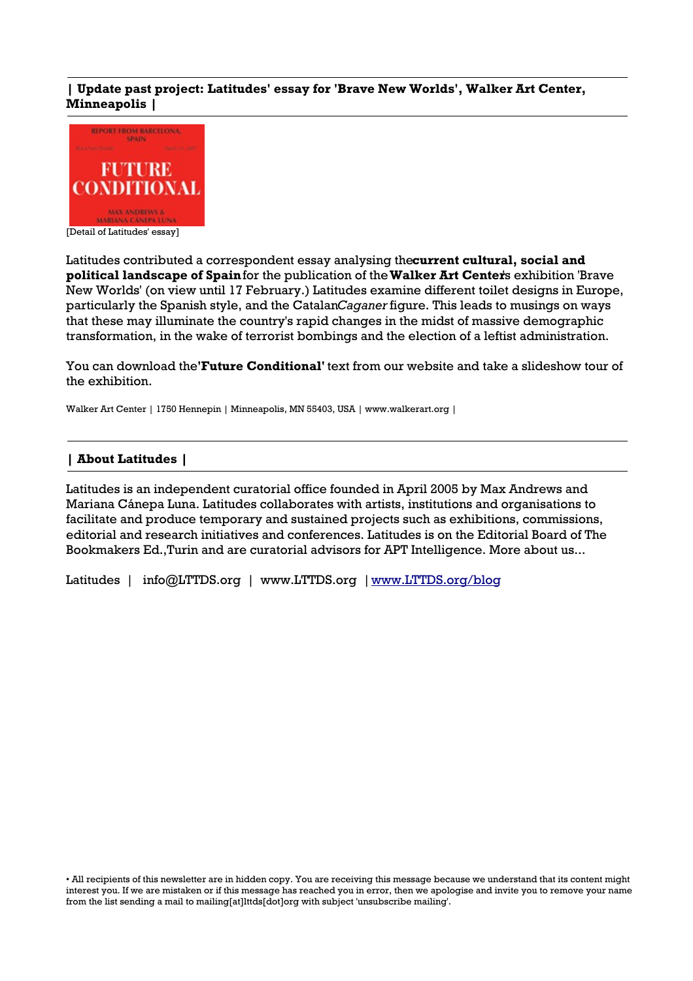# **| Update past project: Latitudes' essay for 'Brave New Worlds', Walker Art Center, Minneapolis |**



Latitudes contributed a correspondent essay analysing the **current cultural, social and political landscape of Spain** for the publication of the **Walker Art Center**'s exhibition 'Brave New Worlds' (on view until 17 February.) Latitudes examine different toilet designs in Europe, particularly the Spanish style, and the Catalan *Caganer* figure. This leads to musings on ways that these may illuminate the country's rapid changes in the midst of massive demographic transformation, in the wake of terrorist bombings and the election of a leftist administration.

You can download the **'Future Conditional'** text from our website and take a slideshow tour of the exhibition.

Walker Art Center | 1750 Hennepin | Minneapolis, MN 55403, USA | www.walkerart.org |

## **| About Latitudes |**

Latitudes is an independent curatorial office founded in April 2005 by Max Andrews and Mariana Cánepa Luna. Latitudes collaborates with artists, institutions and organisations to facilitate and produce temporary and sustained projects such as exhibitions, commissions, editorial and research initiatives and conferences. Latitudes is on the Editorial Board of The Bookmakers Ed.,Turin and are curatorial advisors for APT Intelligence. More about us...

Latitudes | info@LTTDS.org | www.LTTDS.org | [www.LTTDS.org/blog](http://www.LTTDS.org/blog)

• All recipients of this newsletter are in hidden copy. You are receiving this message because we understand that its content might interest you. If we are mistaken or if this message has reached you in error, then we apologise and invite you to remove your name from the list sending a mail to mailing[at]lttds[dot]org with subject 'unsubscribe mailing'.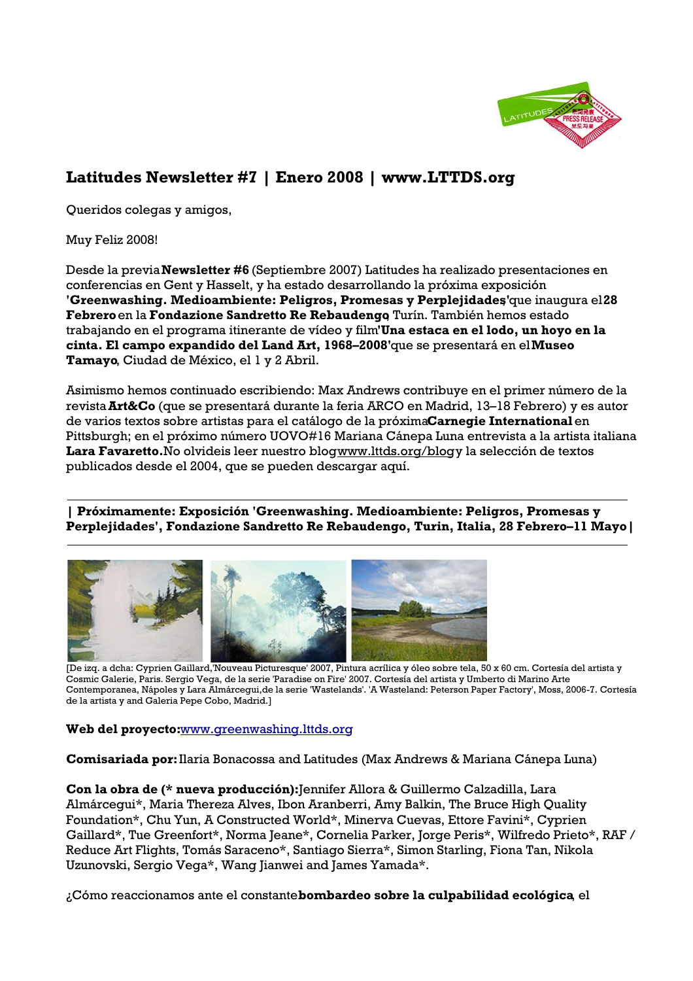

# **Latitudes Newsletter #7 | Enero 2008 | www.LTTDS.org**

Queridos colegas y amigos,

Muy Feliz 2008!

Desde la previa **Newsletter #6** (Septiembre 2007) Latitudes ha realizado presentaciones en conferencias en Gent y Hasselt, y ha estado desarrollando la próxima exposición **'Greenwashing. Medioambiente: Peligros, Promesas y Perplejidades'que inaugura el 28 Febrero** en la **Fondazione Sandretto Re Rebaudengo**, Turín. También hemos estado trabajando en el programa itinerante de vídeo y film **'Una estaca en el lodo, un hoyo en la cinta. El campo expandido del Land Art, 1968–2008'** que se presentará en el **Museo Tamayo**, Ciudad de México, el 1 y 2 Abril.

Asimismo hemos continuado escribiendo: Max Andrews contribuye en el primer número de la revista **Art&Co** (que se presentará durante la feria ARCO en Madrid, 13–18 Febrero) y es autor de varios textos sobre artistas para el catálogo de la próxima **Carnegie International** en Pittsburgh; en el próximo número UOVO#16 Mariana Cánepa Luna entrevista a la artista italiana Lara Favaretto. No olvideis leer nuestro blogwww.lttds.org/blogy la selección de textos publicados desde el 2004, que se pueden descargar aquí.

**| Próximamente: Exposición 'Greenwashing. Medioambiente: Peligros, Promesas y Perplejidades', Fondazione Sandretto Re Rebaudengo, Turin, Italia, 28 Febrero–11 Mayo|**



[De izq. a dcha: Cyprien Gaillard,'Nouveau Picturesque' 2007, Pintura acrílica y óleo sobre tela, 50 x 60 cm. Cortesía del artista y Cosmic Galerie, Paris. Sergio Vega, de la serie 'Paradise on Fire' 2007. Cortesía del artista y Umberto di Marino Arte Contemporanea, Nápoles y Lara Almárcegui,de la serie 'Wastelands'. 'A Wasteland: Peterson Paper Factory', Moss, 2006-7. Cortesía de la artista y and Galeria Pepe Cobo, Madrid.]

# **Web del proyecto:** [www.greenwashing.lttds.org](http://www.greenwashing.lttds.org/)

**Comisariada por:** Ilaria Bonacossa and Latitudes (Max Andrews & Mariana Cánepa Luna)

**Con la obra de (\* nueva producción):** Jennifer Allora & Guillermo Calzadilla, Lara Almárcegui\*, Maria Thereza Alves, Ibon Aranberri, Amy Balkin, The Bruce High Quality Foundation\*, Chu Yun, A Constructed World\*, Minerva Cuevas, Ettore Favini\*, Cyprien Gaillard\*, Tue Greenfort\*, Norma Jeane\*, Cornelia Parker, Jorge Peris\*, Wilfredo Prieto\*, RAF / Reduce Art Flights, Tomás Saraceno\*, Santiago Sierra\*, Simon Starling, Fiona Tan, Nikola Uzunovski, Sergio Vega\*, Wang Jianwei and James Yamada\*.

¿Cómo reaccionamos ante el constante **bombardeo sobre la culpabilidad ecológica**, el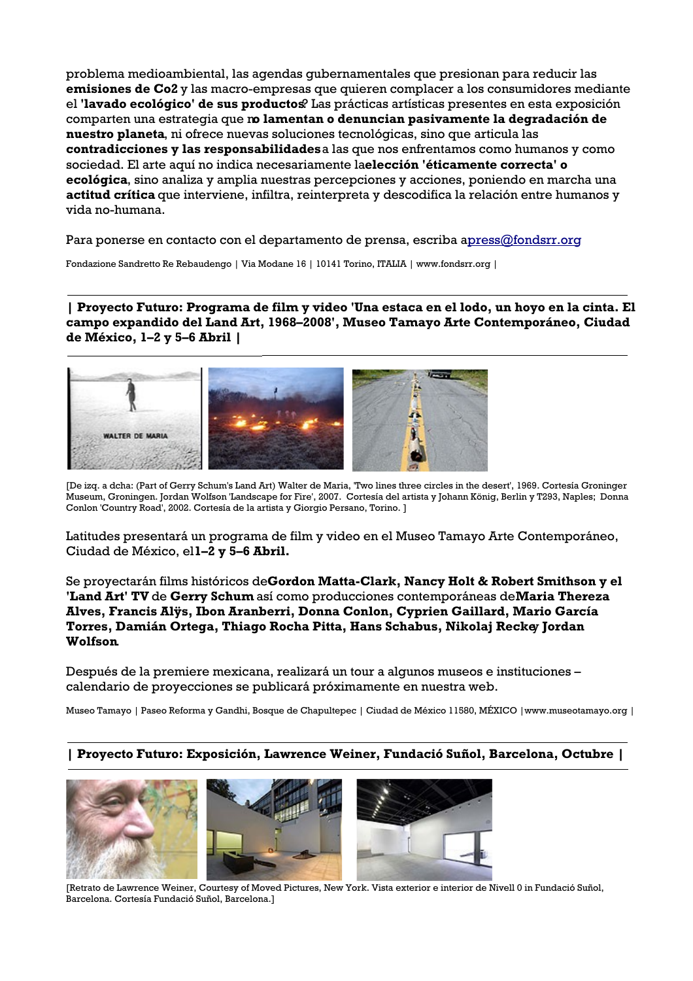problema medioambiental, las agendas gubernamentales que presionan para reducir las **emisiones de Co2** y las macro-empresas que quieren complacer a los consumidores mediante el **'lavado ecológico' de sus productos**? Las prácticas artísticas presentes en esta exposición comparten una estrategia que n**o lamentan o denuncian pasivamente la degradación de nuestro planeta**, ni ofrece nuevas soluciones tecnológicas, sino que articula las **contradicciones y las responsabilidades** a las que nos enfrentamos como humanos y como sociedad. El arte aquí no indica necesariamente la **elección 'éticamente correcta' o ecológica**, sino analiza y amplia nuestras percepciones y acciones, poniendo en marcha una **actitud crítica** que interviene, infiltra, reinterpreta y descodifica la relación entre humanos y vida no-humana.

Para ponerse en contacto con el departamento de prensa, escriba apress@fondsrr.org

Fondazione Sandretto Re Rebaudengo | Via Modane 16 | 10141 Torino, ITALIA | www.fondsrr.org |

**| Proyecto Futuro: Programa de film y video 'Una estaca en el lodo, un hoyo en la cinta. El campo expandido del Land Art, 1968–2008', Museo Tamayo Arte Contemporáneo, Ciudad de México, 1–2 y 5–6 Abril |**



[De izq. a dcha: (Part of Gerry Schum's Land Art) Walter de Maria, 'Two lines three circles in the desert', 1969. Cortesía Groninger Museum, Groningen. Jordan Wolfson 'Landscape for Fire', 2007. Cortesía del artista y Johann König, Berlin y T293, Naples; Donna Conlon 'Country Road', 2002. Cortesía de la artista y Giorgio Persano, Torino. ]

Latitudes presentará un programa de film y video en el Museo Tamayo Arte Contemporáneo, Ciudad de México, el **1–2 y 5–6 Abril.**

Se proyectarán films históricos de **Gordon Matta-Clark, Nancy Holt & Robert Smithson y el 'Land Art' TV** de **Gerry Schum** así como producciones contemporáneas de **Maria Thereza Alves, Francis Alÿs, Ibon Aranberri, Donna Conlon, Cyprien Gaillard, Mario García Torres, Damián Ortega, Thiago Rocha Pitta, Hans Schabus, Nikolaj Recke** y **Jordan Wolfson**.

Después de la premiere mexicana, realizará un tour a algunos museos e instituciones – calendario de proyecciones se publicará próximamente en nuestra web.

Museo Tamayo | Paseo Reforma y Gandhi, Bosque de Chapultepec | Ciudad de México 11580, MÉXICO |www.museotamayo.org |

# **| Proyecto Futuro: Exposición, Lawrence Weiner, Fundació Suñol, Barcelona, Octubre |**



[Retrato de Lawrence Weiner, Courtesy of Moved Pictures, New York. Vista exterior e interior de Nivell 0 in Fundació Suñol, Barcelona. Cortesía Fundació Suñol, Barcelona.]